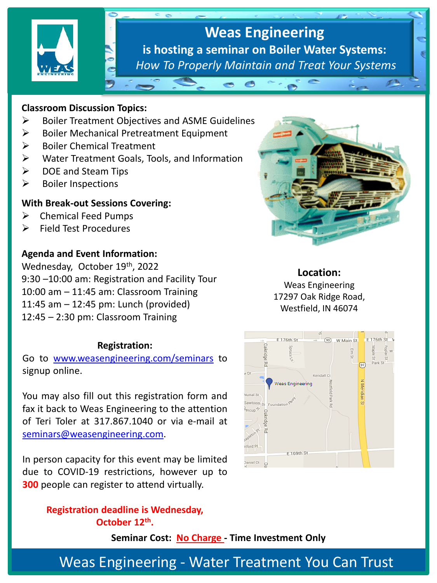

# **Weas Engineering is hosting a seminar on Boiler Water Systems:**  *How To Properly Maintain and Treat Your Systems*

#### **Classroom Discussion Topics:**

- ➢ Boiler Treatment Objectives and ASME Guidelines
- ➢ Boiler Mechanical Pretreatment Equipment
- ➢ Boiler Chemical Treatment
- ➢ Water Treatment Goals, Tools, and Information
- ➢ DOE and Steam Tips
- ➢ Boiler Inspections

#### **With Break-out Sessions Covering:**

- ➢ Chemical Feed Pumps
- ➢ Field Test Procedures

## **Agenda and Event Information:**

Wednesday, October 19th, 2022 9:30 –10:00 am: Registration and Facility Tour 10:00 am – 11:45 am: Classroom Training 11:45 am – 12:45 pm: Lunch (provided) 12:45 – 2:30 pm: Classroom Training

### **Registration:**

Go to [www.weasengineering.com/seminars](http://www.weasengineering.com/seminars) to signup online.

You may also fill out this registration form and fax it back to Weas Engineering to the attention of Teri Toler at 317.867.1040 or via e-mail at [seminars@weasengineering.com](mailto:seminars@weasengineering.com).

In person capacity for this event may be limited due to COVID-19 restrictions, however up to **300** people can register to attend virtually.

> **Registration deadline is Wednesday, October 12th .**

> > **Seminar Cost: No Charge - Time Investment Only**



#### **Location:**

Weas Engineering 17297 Oak Ridge Road, Westfield, IN 46074



Weas Engineering - Water Treatment You Can Trust